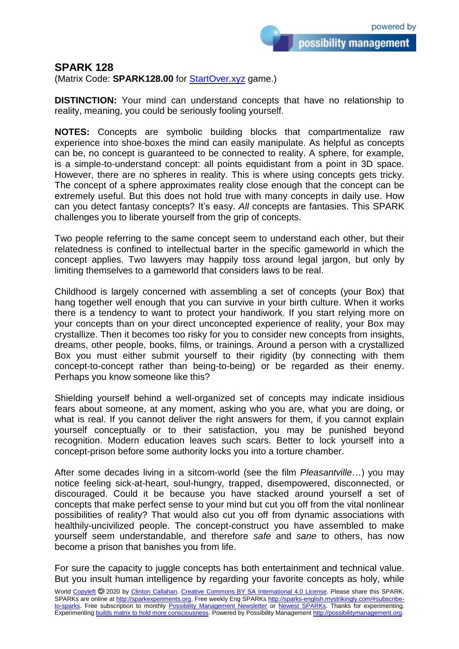possibility management

## **SPARK 128**

(Matrix Code: **SPARK128.00** for **StartOver.xyz** game.)

**DISTINCTION:** Your mind can understand concepts that have no relationship to reality, meaning, you could be seriously fooling yourself.

**NOTES:** Concepts are symbolic building blocks that compartmentalize raw experience into shoe-boxes the mind can easily manipulate. As helpful as concepts can be, no concept is guaranteed to be connected to reality. A sphere, for example, is a simple-to-understand concept: all points equidistant from a point in 3D space. However, there are no spheres in reality. This is where using concepts gets tricky. The concept of a sphere approximates reality close enough that the concept can be extremely useful. But this does not hold true with many concepts in daily use. How can you detect fantasy concepts? It's easy. *All* concepts are fantasies. This SPARK challenges you to liberate yourself from the grip of concepts.

Two people referring to the same concept seem to understand each other, but their relatedness is confined to intellectual barter in the specific gameworld in which the concept applies. Two lawyers may happily toss around legal jargon, but only by limiting themselves to a gameworld that considers laws to be real.

Childhood is largely concerned with assembling a set of concepts (your Box) that hang together well enough that you can survive in your birth culture. When it works there is a tendency to want to protect your handiwork. If you start relying more on your concepts than on your direct unconcepted experience of reality, your Box may crystallize. Then it becomes too risky for you to consider new concepts from insights, dreams, other people, books, films, or trainings. Around a person with a crystallized Box you must either submit yourself to their rigidity (by connecting with them concept-to-concept rather than being-to-being) or be regarded as their enemy. Perhaps you know someone like this?

Shielding yourself behind a well-organized set of concepts may indicate insidious fears about someone, at any moment, asking who you are, what you are doing, or what is real. If you cannot deliver the right answers for them, if you cannot explain yourself conceptually or to their satisfaction, you may be punished beyond recognition. Modern education leaves such scars. Better to lock yourself into a concept-prison before some authority locks you into a torture chamber.

After some decades living in a sitcom-world (see the film *Pleasantville*…) you may notice feeling sick-at-heart, soul-hungry, trapped, disempowered, disconnected, or discouraged. Could it be because you have stacked around yourself a set of concepts that make perfect sense to your mind but cut you off from the vital nonlinear possibilities of reality? That would also cut you off from dynamic associations with healthily-uncivilized people. The concept-construct you have assembled to make yourself seem understandable, and therefore *safe* and *sane* to others, has now become a prison that banishes you from life.

For sure the capacity to juggle concepts has both entertainment and technical value. But you insult human intelligence by regarding your favorite concepts as holy, while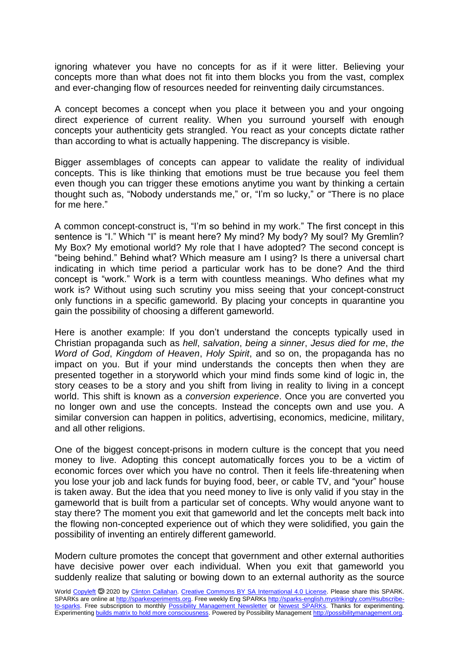ignoring whatever you have no concepts for as if it were litter. Believing your concepts more than what does not fit into them blocks you from the vast, complex and ever-changing flow of resources needed for reinventing daily circumstances.

A concept becomes a concept when you place it between you and your ongoing direct experience of current reality. When you surround yourself with enough concepts your authenticity gets strangled. You react as your concepts dictate rather than according to what is actually happening. The discrepancy is visible.

Bigger assemblages of concepts can appear to validate the reality of individual concepts. This is like thinking that emotions must be true because you feel them even though you can trigger these emotions anytime you want by thinking a certain thought such as, "Nobody understands me," or, "I'm so lucky," or "There is no place for me here."

A common concept-construct is, "I'm so behind in my work." The first concept in this sentence is "I." Which "I" is meant here? My mind? My body? My soul? My Gremlin? My Box? My emotional world? My role that I have adopted? The second concept is "being behind." Behind what? Which measure am I using? Is there a universal chart indicating in which time period a particular work has to be done? And the third concept is "work." Work is a term with countless meanings. Who defines what my work is? Without using such scrutiny you miss seeing that your concept-construct only functions in a specific gameworld. By placing your concepts in quarantine you gain the possibility of choosing a different gameworld.

Here is another example: If you don't understand the concepts typically used in Christian propaganda such as *hell*, *salvation*, *being a sinner*, *Jesus died for me*, *the Word of God*, *Kingdom of Heaven*, *Holy Spirit*, and so on, the propaganda has no impact on you. But if your mind understands the concepts then when they are presented together in a storyworld which your mind finds some kind of logic in, the story ceases to be a story and you shift from living in reality to living in a concept world. This shift is known as a *conversion experience*. Once you are converted you no longer own and use the concepts. Instead the concepts own and use you. A similar conversion can happen in politics, advertising, economics, medicine, military, and all other religions.

One of the biggest concept-prisons in modern culture is the concept that you need money to live. Adopting this concept automatically forces you to be a victim of economic forces over which you have no control. Then it feels life-threatening when you lose your job and lack funds for buying food, beer, or cable TV, and "your" house is taken away. But the idea that you need money to live is only valid if you stay in the gameworld that is built from a particular set of concepts. Why would anyone want to stay there? The moment you exit that gameworld and let the concepts melt back into the flowing non-concepted experience out of which they were solidified, you gain the possibility of inventing an entirely different gameworld.

Modern culture promotes the concept that government and other external authorities have decisive power over each individual. When you exit that gameworld you suddenly realize that saluting or bowing down to an external authority as the source